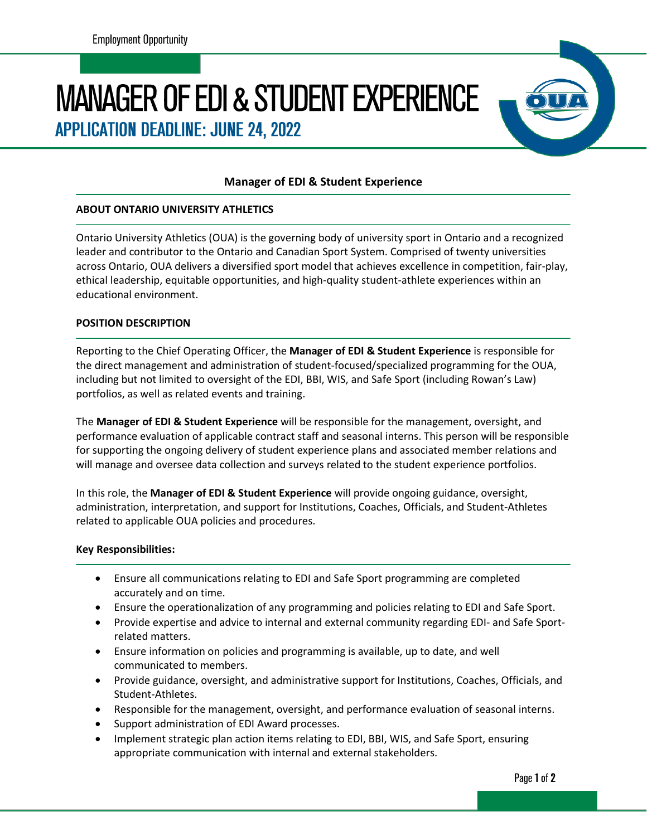# **MANAGER OF EDI & STUDENT EXPERIENCE**

**APPLICATION DEADLINE: JUNE 24, 2022** 

# **Manager of EDI & Student Experience**

### **ABOUT ONTARIO UNIVERSITY ATHLETICS**

Ontario University Athletics (OUA) is the governing body of university sport in Ontario and a recognized leader and contributor to the Ontario and Canadian Sport System. Comprised of twenty universities across Ontario, OUA delivers a diversified sport model that achieves excellence in competition, fair-play, ethical leadership, equitable opportunities, and high-quality student-athlete experiences within an educational environment.

### **POSITION DESCRIPTION**

Reporting to the Chief Operating Officer, the **Manager of EDI & Student Experience** is responsible for the direct management and administration of student-focused/specialized programming for the OUA, including but not limited to oversight of the EDI, BBI, WIS, and Safe Sport (including Rowan's Law) portfolios, as well as related events and training.

The **Manager of EDI & Student Experience** will be responsible for the management, oversight, and performance evaluation of applicable contract staff and seasonal interns. This person will be responsible for supporting the ongoing delivery of student experience plans and associated member relations and will manage and oversee data collection and surveys related to the student experience portfolios.

In this role, the **Manager of EDI & Student Experience** will provide ongoing guidance, oversight, administration, interpretation, and support for Institutions, Coaches, Officials, and Student-Athletes related to applicable OUA policies and procedures.

### **Key Responsibilities:**

- Ensure all communications relating to EDI and Safe Sport programming are completed accurately and on time.
- Ensure the operationalization of any programming and policies relating to EDI and Safe Sport.
- Provide expertise and advice to internal and external community regarding EDI- and Safe Sportrelated matters.
- Ensure information on policies and programming is available, up to date, and well communicated to members.
- Provide guidance, oversight, and administrative support for Institutions, Coaches, Officials, and Student-Athletes.
- Responsible for the management, oversight, and performance evaluation of seasonal interns.
- Support administration of EDI Award processes.
- Implement strategic plan action items relating to EDI, BBI, WIS, and Safe Sport, ensuring appropriate communication with internal and external stakeholders.